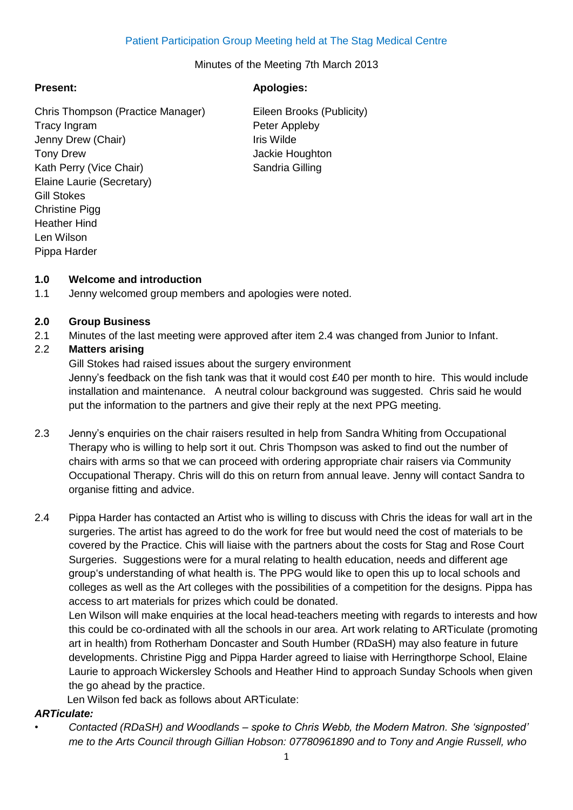Minutes of the Meeting 7th March 2013

Chris Thompson (Practice Manager) Eileen Brooks (Publicity) Tracy Ingram **Peter Appleby** Jenny Drew (Chair) **If the Strutter Chair** Iris Wilde Tony Drew **Jackie Houghton** Kath Perry (Vice Chair) Sandria Gilling Elaine Laurie (Secretary) Gill Stokes Christine Pigg Heather Hind Len Wilson Pippa Harder

# **Present: Apologies:**

## **1.0 Welcome and introduction**

1.1 Jenny welcomed group members and apologies were noted.

## **2.0 Group Business**

2.1 Minutes of the last meeting were approved after item 2.4 was changed from Junior to Infant.

# 2.2 **Matters arising**

Gill Stokes had raised issues about the surgery environment Jenny's feedback on the fish tank was that it would cost £40 per month to hire. This would include installation and maintenance. A neutral colour background was suggested. Chris said he would put the information to the partners and give their reply at the next PPG meeting.

- 2.3 Jenny's enquiries on the chair raisers resulted in help from Sandra Whiting from Occupational Therapy who is willing to help sort it out. Chris Thompson was asked to find out the number of chairs with arms so that we can proceed with ordering appropriate chair raisers via Community Occupational Therapy. Chris will do this on return from annual leave. Jenny will contact Sandra to organise fitting and advice.
- 2.4 Pippa Harder has contacted an Artist who is willing to discuss with Chris the ideas for wall art in the surgeries. The artist has agreed to do the work for free but would need the cost of materials to be covered by the Practice. Chis will liaise with the partners about the costs for Stag and Rose Court Surgeries. Suggestions were for a mural relating to health education, needs and different age group's understanding of what health is. The PPG would like to open this up to local schools and colleges as well as the Art colleges with the possibilities of a competition for the designs. Pippa has access to art materials for prizes which could be donated.

Len Wilson will make enquiries at the local head-teachers meeting with regards to interests and how this could be co-ordinated with all the schools in our area. Art work relating to ARTiculate (promoting art in health) from Rotherham Doncaster and South Humber (RDaSH) may also feature in future developments. Christine Pigg and Pippa Harder agreed to liaise with Herringthorpe School, Elaine Laurie to approach Wickersley Schools and Heather Hind to approach Sunday Schools when given the go ahead by the practice.

Len Wilson fed back as follows about ARTiculate:

# *ARTiculate:*

*• Contacted (RDaSH) and Woodlands – spoke to Chris Webb, the Modern Matron. She 'signposted' me to the Arts Council through Gillian Hobson: 07780961890 and to Tony and Angie Russell, who*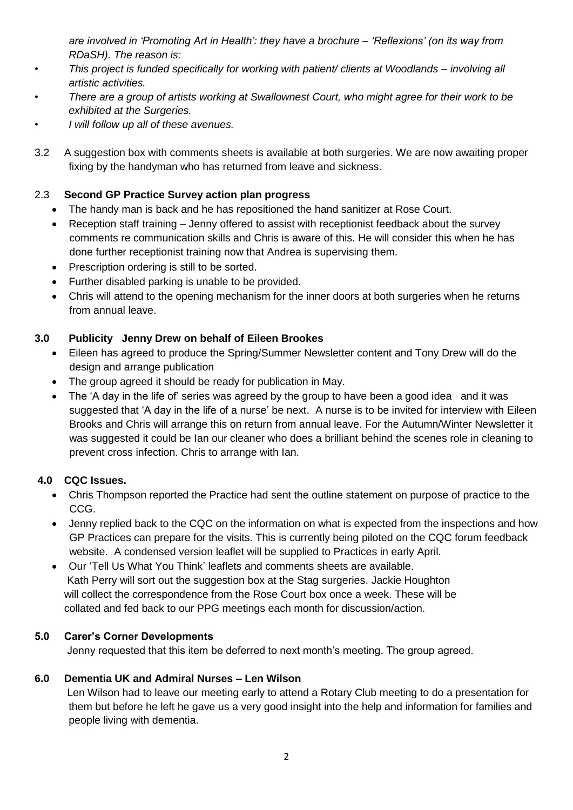*are involved in 'Promoting Art in Health': they have a brochure – 'Reflexions' (on its way from RDaSH). The reason is:*

- *• This project is funded specifically for working with patient/ clients at Woodlands – involving all artistic activities.*
- *• There are a group of artists working at Swallownest Court, who might agree for their work to be exhibited at the Surgeries.*
- *• I will follow up all of these avenues.*
- 3.2 A suggestion box with comments sheets is available at both surgeries. We are now awaiting proper fixing by the handyman who has returned from leave and sickness.

# 2.3 **Second GP Practice Survey action plan progress**

- The handy man is back and he has repositioned the hand sanitizer at Rose Court.
- Reception staff training Jenny offered to assist with receptionist feedback about the survey comments re communication skills and Chris is aware of this. He will consider this when he has done further receptionist training now that Andrea is supervising them.
- Prescription ordering is still to be sorted.
- Further disabled parking is unable to be provided.
- Chris will attend to the opening mechanism for the inner doors at both surgeries when he returns from annual leave.

## **3.0 Publicity Jenny Drew on behalf of Eileen Brookes**

- Eileen has agreed to produce the Spring/Summer Newsletter content and Tony Drew will do the design and arrange publication
- The group agreed it should be ready for publication in May.
- The 'A day in the life of' series was agreed by the group to have been a good idea and it was suggested that 'A day in the life of a nurse' be next. A nurse is to be invited for interview with Eileen Brooks and Chris will arrange this on return from annual leave. For the Autumn/Winter Newsletter it was suggested it could be Ian our cleaner who does a brilliant behind the scenes role in cleaning to prevent cross infection. Chris to arrange with Ian.

# **4.0 CQC Issues.**

- Chris Thompson reported the Practice had sent the outline statement on purpose of practice to the CCG.
- Jenny replied back to the CQC on the information on what is expected from the inspections and how GP Practices can prepare for the visits. This is currently being piloted on the CQC forum feedback website. A condensed version leaflet will be supplied to Practices in early April.
- Our 'Tell Us What You Think' leaflets and comments sheets are available. Kath Perry will sort out the suggestion box at the Stag surgeries. Jackie Houghton will collect the correspondence from the Rose Court box once a week. These will be collated and fed back to our PPG meetings each month for discussion/action.

#### **5.0 Carer's Corner Developments**

Jenny requested that this item be deferred to next month's meeting. The group agreed.

#### **6.0 Dementia UK and Admiral Nurses – Len Wilson**

 Len Wilson had to leave our meeting early to attend a Rotary Club meeting to do a presentation for them but before he left he gave us a very good insight into the help and information for families and people living with dementia.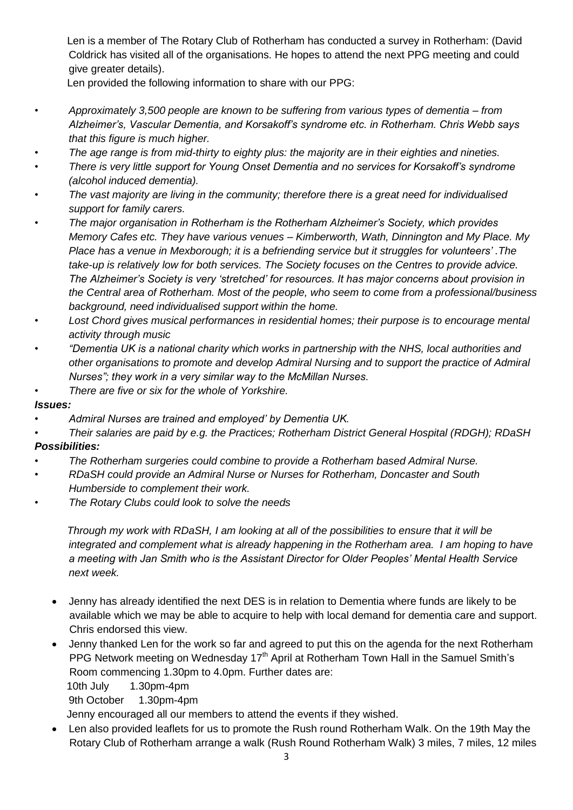Len is a member of The Rotary Club of Rotherham has conducted a survey in Rotherham: (David Coldrick has visited all of the organisations. He hopes to attend the next PPG meeting and could give greater details).

Len provided the following information to share with our PPG:

- *• Approximately 3,500 people are known to be suffering from various types of dementia – from Alzheimer's, Vascular Dementia, and Korsakoff's syndrome etc. in Rotherham. Chris Webb says that this figure is much higher.*
- *• The age range is from mid-thirty to eighty plus: the majority are in their eighties and nineties.*
- *• There is very little support for Young Onset Dementia and no services for Korsakoff's syndrome (alcohol induced dementia).*
- *• The vast majority are living in the community; therefore there is a great need for individualised support for family carers.*
- *• The major organisation in Rotherham is the Rotherham Alzheimer's Society, which provides Memory Cafes etc. They have various venues – Kimberworth, Wath, Dinnington and My Place. My Place has a venue in Mexborough; it is a befriending service but it struggles for volunteers' .The take-up is relatively low for both services. The Society focuses on the Centres to provide advice. The Alzheimer's Society is very 'stretched' for resources. It has major concerns about provision in the Central area of Rotherham. Most of the people, who seem to come from a professional/business background, need individualised support within the home.*
- *• Lost Chord gives musical performances in residential homes; their purpose is to encourage mental activity through music*
- *• "Dementia UK is a national charity which works in partnership with the NHS, local authorities and other organisations to promote and develop Admiral Nursing and to support the practice of Admiral Nurses"; they work in a very similar way to the McMillan Nurses.*
- *• There are five or six for the whole of Yorkshire.*

#### *Issues:*

- *• Admiral Nurses are trained and employed' by Dementia UK.*
- *• Their salaries are paid by e.g. the Practices; Rotherham District General Hospital (RDGH); RDaSH*

# *Possibilities:*

- *• The Rotherham surgeries could combine to provide a Rotherham based Admiral Nurse.*
- *• RDaSH could provide an Admiral Nurse or Nurses for Rotherham, Doncaster and South Humberside to complement their work.*
- *• The Rotary Clubs could look to solve the needs*

 *Through my work with RDaSH, I am looking at all of the possibilities to ensure that it will be integrated and complement what is already happening in the Rotherham area. I am hoping to have a meeting with Jan Smith who is the Assistant Director for Older Peoples' Mental Health Service next week.*

- Jenny has already identified the next DES is in relation to Dementia where funds are likely to be available which we may be able to acquire to help with local demand for dementia care and support. Chris endorsed this view.
- Jenny thanked Len for the work so far and agreed to put this on the agenda for the next Rotherham PPG Network meeting on Wednesday 17<sup>th</sup> April at Rotherham Town Hall in the Samuel Smith's Room commencing 1.30pm to 4.0pm. Further dates are:

10th July 1.30pm-4pm

9th October 1.30pm-4pm

Jenny encouraged all our members to attend the events if they wished.

 Len also provided leaflets for us to promote the Rush round Rotherham Walk. On the 19th May the Rotary Club of Rotherham arrange a walk (Rush Round Rotherham Walk) 3 miles, 7 miles, 12 miles